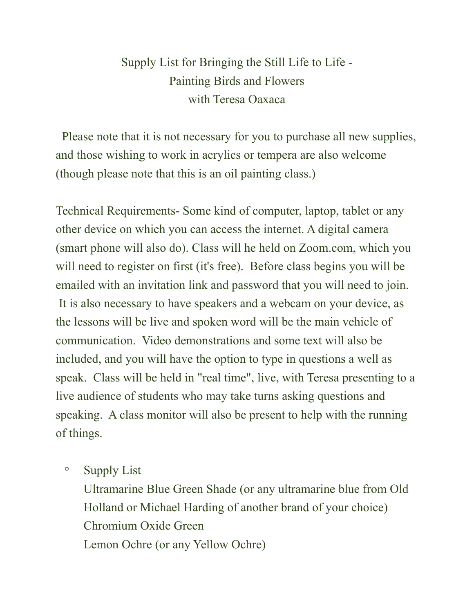## Supply List for Bringing the Still Life to Life - Painting Birds and Flowers with Teresa Oaxaca

 Please note that it is not necessary for you to purchase all new supplies, and those wishing to work in acrylics or tempera are also welcome (though please note that this is an oil painting class.)

Technical Requirements- Some kind of computer, laptop, tablet or any other device on which you can access the internet. A digital camera (smart phone will also do). Class will he held on Zoom.com, which you will need to register on first (it's free). Before class begins you will be emailed with an invitation link and password that you will need to join. It is also necessary to have speakers and a webcam on your device, as the lessons will be live and spoken word will be the main vehicle of communication. Video demonstrations and some text will also be included, and you will have the option to type in questions a well as speak. Class will be held in "real time", live, with Teresa presenting to a live audience of students who may take turns asking questions and speaking. A class monitor will also be present to help with the running of things.

◦ Supply List

Ultramarine Blue Green Shade (or any ultramarine blue from Old Holland or Michael Harding of another brand of your choice) Chromium Oxide Green Lemon Ochre (or any Yellow Ochre)